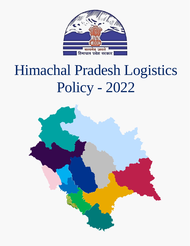

# Himachal Pradesh Logistics Policy - 2022

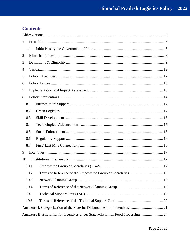# **Contents**

| $\mathbf{1}$   |      |                                                                                    |  |  |  |  |  |
|----------------|------|------------------------------------------------------------------------------------|--|--|--|--|--|
|                | 1.1  |                                                                                    |  |  |  |  |  |
| $\overline{2}$ |      |                                                                                    |  |  |  |  |  |
| 3              |      |                                                                                    |  |  |  |  |  |
| 4              |      |                                                                                    |  |  |  |  |  |
| 5              |      |                                                                                    |  |  |  |  |  |
| 6              |      |                                                                                    |  |  |  |  |  |
| 7              |      |                                                                                    |  |  |  |  |  |
| 8              |      |                                                                                    |  |  |  |  |  |
|                | 8.1  |                                                                                    |  |  |  |  |  |
|                | 8.2  |                                                                                    |  |  |  |  |  |
|                | 8.3  |                                                                                    |  |  |  |  |  |
|                | 8.4  |                                                                                    |  |  |  |  |  |
|                | 8.5  |                                                                                    |  |  |  |  |  |
|                | 8.6  |                                                                                    |  |  |  |  |  |
|                | 8.7  |                                                                                    |  |  |  |  |  |
| 9              |      |                                                                                    |  |  |  |  |  |
| 10             |      |                                                                                    |  |  |  |  |  |
|                | 10.1 |                                                                                    |  |  |  |  |  |
|                | 10.2 |                                                                                    |  |  |  |  |  |
|                | 10.3 |                                                                                    |  |  |  |  |  |
|                | 10.4 |                                                                                    |  |  |  |  |  |
|                | 10.5 |                                                                                    |  |  |  |  |  |
|                | 10.6 |                                                                                    |  |  |  |  |  |
|                |      |                                                                                    |  |  |  |  |  |
|                |      | Annexure II: Eligibility for incentives under State Mission on Food Processing  24 |  |  |  |  |  |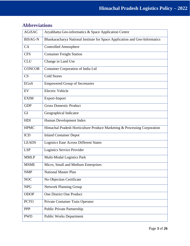| <b>BISAG-N</b><br>Bhaskaracharya National Institute for Space Application and Geo-Informatics<br>CA<br><b>Controlled Atmosphere</b><br><b>Container Freight Station</b><br><b>CFS</b><br><b>CLU</b><br>Change in Land Use<br><b>CONCOR</b><br>Container Corporation of India Ltd<br><b>Cold Stores</b><br>CS |
|--------------------------------------------------------------------------------------------------------------------------------------------------------------------------------------------------------------------------------------------------------------------------------------------------------------|
|                                                                                                                                                                                                                                                                                                              |
|                                                                                                                                                                                                                                                                                                              |
|                                                                                                                                                                                                                                                                                                              |
|                                                                                                                                                                                                                                                                                                              |
|                                                                                                                                                                                                                                                                                                              |
|                                                                                                                                                                                                                                                                                                              |
| <b>EGoS</b><br><b>Empowered Group of Secretaries</b>                                                                                                                                                                                                                                                         |
| <b>Electric Vehicle</b><br>EV                                                                                                                                                                                                                                                                                |
| <b>EXIM</b><br>Export-Import                                                                                                                                                                                                                                                                                 |
| <b>Gross Domestic Product</b><br><b>GDP</b>                                                                                                                                                                                                                                                                  |
| GI<br>Geographical Indicator                                                                                                                                                                                                                                                                                 |
| HDI<br>Human Development Index                                                                                                                                                                                                                                                                               |
| <b>HPMC</b><br>Himachal Pradesh Horticulture Produce Marketing & Processing Corporation                                                                                                                                                                                                                      |
| <b>ICD</b><br><b>Inland Container Depot</b>                                                                                                                                                                                                                                                                  |
| <b>LEADS</b><br><b>Logistics Ease Across Different States</b>                                                                                                                                                                                                                                                |
| Logistics Service Provider<br><b>LSP</b>                                                                                                                                                                                                                                                                     |
| <b>MMLP</b><br>Multi-Modal Logistics Park                                                                                                                                                                                                                                                                    |
| <b>MSME</b><br>Micro, Small and Medium Enterprises                                                                                                                                                                                                                                                           |
| <b>NMP</b><br><b>National Master Plan</b>                                                                                                                                                                                                                                                                    |
| <b>NOC</b><br>No Objection Certificate                                                                                                                                                                                                                                                                       |
| <b>NPG</b><br><b>Network Planning Group</b>                                                                                                                                                                                                                                                                  |
| <b>ODOP</b><br>One District One Product                                                                                                                                                                                                                                                                      |
| <b>PCTO</b><br>Private Container Train Operator                                                                                                                                                                                                                                                              |
| <b>PPP</b><br>Public Private Partnership                                                                                                                                                                                                                                                                     |
| <b>PWD</b><br><b>Public Works Department</b>                                                                                                                                                                                                                                                                 |

# <span id="page-2-0"></span>**Abbreviations**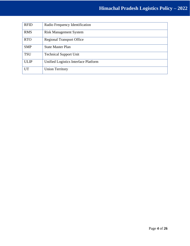# **Himachal Pradesh Logistics Policy – 2022**

| <b>RFID</b> | Radio Frequency Identification       |
|-------------|--------------------------------------|
| <b>RMS</b>  | <b>Risk Management System</b>        |
| <b>RTO</b>  | <b>Regional Transport Office</b>     |
| <b>SMP</b>  | <b>State Master Plan</b>             |
| <b>TSU</b>  | <b>Technical Support Unit</b>        |
| <b>ULIP</b> | Unified Logistics Interface Platform |
| <b>UT</b>   | <b>Union Territory</b>               |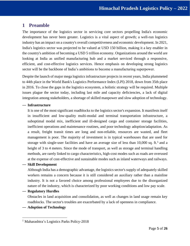# <span id="page-4-0"></span>**1 Preamble**

The importance of the logistics sector in servicing core sectors propelling India's economic development has never been greater. Logistics is a vital aspect of growth; a well-run logistics industry has an impact on a country's overall competitiveness and economic development. In 2021, India's logistics sector was projected to be valued at USD 150 billion, making it a key enabler in the country's ambition of becoming a USD 5 trillion economy. Organizations around the world are looking at India as unified manufacturing hub and a market serviced through a responsive, efficient, and cost-effective logistics services. Hence emphasis on developing strong logistics sector will be the backbone of India's ambitions to become a manufacturing superpower.

Despite the launch of major mega logistics infrastructure projects in recent years, India plummeted to 44th place in the World Bank's Logistics Performance Index (LPI) 2018, down from 35th place in 2016. To close the gaps in the logistics ecosystem, a holistic strategy will be required. Multiple issues plague the sector today, including last mile and capacity deficiencies, a lack of digital integration among stakeholders, a shortage of skilled manpower and slow adoption of technology.

#### — **Infrastructure**

It is one of the most significant roadblocks to the logistics sector's expansion. It manifests itself in insufficient and low-quality multi-modal and terminal transportation infrastructure, a suboptimal modal mix, inefficient and ill-designed cargo and container storage facilities, inefficient operations and maintenance routines, and poor technology adoption/adaptation. As a result, freight transit times are long and non-reliable, resources are wasted, and fleet management is poor. The majority of investment is in typical warehouses that are used for storage with single-user facilities and have an average size of less than 10,000 sq. ft.<sup>1</sup> and a height of 3 to 4 meters. Since the mode of transport, as well as storage and terminal handling methods, are rarely linked to cargo characteristics, high-cost modes such as roads are overused at the expense of cost-effective and sustainable modes such as inland waterways and railways.

## — **Skill Development**

Although India has a demographic advantage, the logistics sector's supply of adequately skilled workers remains a concern because it is still considered an auxiliary rather than a mainline industry. It is not a favored choice among professional employees due to the disorganized nature of the industry, which is characterized by poor working conditions and low pay scale.

## — **Regulatory Hurdles**

Obstacles in land acquisition and consolidation, as well as changes in land usage remain key roadblocks. The sector's troubles are exacerbated by a lack of openness in compliance.

— **Adoption of Technology**

<sup>&</sup>lt;sup>1</sup> Maharashtra's Logistics Parks Policy-2018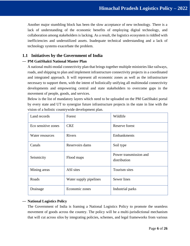Another major stumbling block has been the slow acceptance of new technology. There is a lack of understanding of the economic benefits of employing digital technology, and collaboration among stakeholders is lacking. As a result, the logistics ecosystem is riddled with inefficiencies and underutilized assets. Inadequate technical understanding and a lack of technology systems exacerbate the problem.

# <span id="page-5-0"></span>**1.1 Initiatives by the Government of India**

## — **PM GatiShakti National Master Plan**

A national multi-modal connectivity plan that brings together multiple ministries like railways, roads, and shipping to plan and implement infrastructure connectivity projects in a coordinated and integrated approach. It will represent all economic zones as well as the infrastructure necessary to support them, with the intent of holistically unifying all multimodal connectivity developments and empowering central and state stakeholders to overcome gaps in the movement of people, goods, and services.

Below is the list of mandatory layers which need to be uploaded on the PM GatiShakti portal by every state and UT to synergize future infrastructure projects in the state in line with the vision of a holistic countrywide development plan.

| Land records        | Forest                 | Wildlife                               |  |
|---------------------|------------------------|----------------------------------------|--|
| Eco sensitive zones | <b>CRZ</b>             | Reserve forest                         |  |
| Water resources     | <b>Rivers</b>          | Embankments                            |  |
| Canals              | Reservoirs dams        | Soil type                              |  |
| Seismicity          | Flood maps             | Power transmission and<br>distribution |  |
| Mining areas        | ASI sites              | Tourism sites                          |  |
| Roads               | Water supply pipelines | Sewer lines                            |  |
| Drainage            | Economic zones         | Industrial parks                       |  |

## — **National Logistics Policy**

The Government of India is framing a National Logistics Policy to promote the seamless movement of goods across the country. The policy will be a multi-jurisdictional mechanism that will cut across silos by integrating policies, schemes, and legal frameworks from various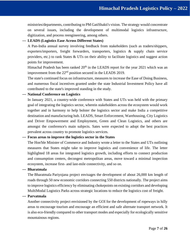ministries/departments, contributing to PM GatiShakti's vision. The strategy would concentrate on several issues, including the development of multimodal logistics infrastructure, digitization, and process reengineering, among others.

## — **LEADS (Logistics Ease Across Different States)**

A Pan-India annual survey involving feedback from stakeholders (such as traders/shippers, exporters/importers, freight forwarders, transporters, logistics & supply chain service providers, etc.) to rank States & UTs on their ability to facilitate logistics and suggest action points for improvement.

Himachal Pradesh has been ranked  $20<sup>th</sup>$  in the LEADS report for the year 2021 which was an improvement from the 22<sup>nd</sup> position secured in the LEADS 2019.

The state's continued focus on infrastructure, measures to increase the Ease of Doing Business, and numerous fiscal incentives granted under the state Industrial Investment Policy have all contributed to the state's improved standing in the study.

— **National Conference on Logistics** 

In January 2021, a country-wide conference with States and UTs was held with the primary goal of integrating the logistics sector, wherein stakeholders across the ecosystem would work together and in harmony to help bolster the logistics sector and make India a competitive destination and manufacturing hub. LEADS, Smart Enforcement, Warehousing, City Logistics and Driver Empowerment and Employment, Green and Clean Logistics, and others are amongst the conference's main subjects. Sates were expected to adopt the best practices prevalent across country to promote logistics services.

#### — **Focus areas to improve the logistics sector in the States**

The Hon'ble Minister of Commerce and Industry wrote a letter to the States and UTs outlining measures that States might take to improve logistics and convenience of life. The letter highlighted 18 areas for integrated logistics growth, including efforts to connect production and consumption centers, decongest metropolitan areas, move toward a minimal inspection ecosystem, increase first- and last-mile connectivity, and so on.

#### — **Bharatmala**

The Bharatmala Pariyojana project envisages the development of about 26,000 km length of roads through 50 new economic corridors connecting 550 districts nationally. The project aims to improve logistics efficiency by eliminating chokepoints on existing corridors and developing MultiModal Logistics Parks across strategic locations to reduce the logistics cost of freight.

#### — **Parvatmala**

Another connectivity project envisioned by the GOI for the development of ropeways in hilly areas to encourage tourism and encourage an efficient and safe alternate transport network. It is also eco-friendly compared to other transport modes and especially for ecologically sensitive mountainous regions.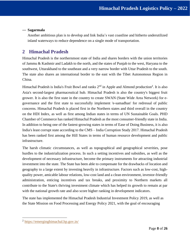#### — **Sagarmala**

Another ambitious plan is to develop and link India's vast coastline and hitherto underutilized inland waterways to reduce dependence on a single mode of transportation.

# <span id="page-7-0"></span>**2 Himachal Pradesh**

Himachal Pradesh is the northernmost state of India and shares borders with the union territories of Jammu & Kashmir and Ladakh to the north, and the states of Punjab to the west, Haryana to the southwest, Uttarakhand to the southeast and a very narrow border with Uttar Pradesh to the south. The state also shares an international border to the east with the Tibet Autonomous Region in China.

Himachal Pradesh is India's Fruit Bowl and ranks 2<sup>nd</sup> in Apple and Almond production<sup>2</sup>. It is also Asia's second-largest pharmaceutical hub. Himachal Pradesh is also the country's biggest fruit grower. It is also the first state in the country to create SWAN (State Wide Area Network) for egovernance and the first state to successfully implement 'e-samadhan' for redressal of public concerns. Himachal Pradesh is placed first in the Northern states and third overall in the country on the HDI Index, as well as first among Indian states in terms of UN Sustainable Goals. PHD Chamber of Commerce has ranked Himachal Pradesh as the most consumer-friendly state in India. In addition to being one of the fastest-growing states in terms of Ease of Doing Business, it is also India's least corrupt state according to the CMS – India Corruption Study 2017. Himachal Pradesh has been ranked first among the Hill States in terms of human resource development and public infrastructure.

The harsh climatic circumstances, as well as topographical and geographical severities, pose hurdles to the industrialization process. In such a setting incentives and subsidies, as well as the development of necessary infrastructure, become the primary instruments for attracting industrial investment into the state. The State has been able to compensate for the drawbacks of location and geography to a large extent by investing heavily in infrastructure. Factors such as low-cost, highquality power, amicable labour relations, low-cost land and a clean environment, investor-friendly administration, enticing incentives and tax breaks, and proximity to Northern markets all contribute to the State's thriving investment climate which has helped its growth to remain at par with the national growth rate and also score higher ranking in development indicators.

The state has implemented the Himachal Pradesh Industrial Investment Policy 2019, as well as the State Mission on Food Processing and Energy Policy 2021, with the goal of encouraging

<sup>&</sup>lt;sup>2</sup> <https://emerginghimachal.hp.gov.in/>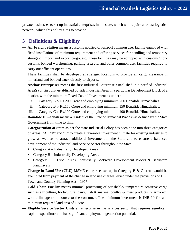private businesses to set up industrial enterprises in the state, which will require a robust logistics network, which this policy aims to provide.

# <span id="page-8-0"></span>**3 Definitions & Eligibility**

— **Air Freight Station** means a customs notified off-airport common user facility equipped with fixed installations of minimum requirement and offering services for handling and temporary storage of import and export cargo, etc. These facilities may be equipped with customs/ noncustoms bonded warehousing, parking area etc. and other common user facilities required to carry out efficient operations.

These facilities shall be developed at strategic locations to provide air cargo clearance in hinterland and bonded truck directly to airports.

- **Anchor Enterprises** means the first Industrial Enterprise established in a notified Industrial Area(s) or first unit established outside Industrial Area in a particular Development Block of a district, with the minimum Fixed Capital Investment as under :
	- i. Category A :- Rs.200 Crore and employing minimum 200 Bonafide Himachalies.
	- ii. Category B :- Rs.150 Crore and employing minimum 150 Bonafide Himachalies.
	- iii. Category C :- Rs.100 Crore and employing minimum 100 Bonafide Himachalies.
- **Bonafide Himachali** means a resident of the State of Himachal Pradesh as defined by the State Government from time to time.
- **Categorization of State** as per the state Industrial Policy has been done into three categories of Areas: "A", "B" and "C" to create a favorable investment climate for existing industries to grow as well as to attract additional investment in the State and to ensure a balanced development of the Industrial and Service Sector throughout the State.
	- Category A Industrially Developed Areas
	- $\blacksquare$  Category B Industrially Developing Areas
	- Category C Tribal Areas, Industrially Backward Development Blocks & Backward Panchayats
- **Change in Land Use (CLU)** MSME enterprises set up in Category B & C areas would be exempted from payment of the change in land use charges levied under the provisions of H.P. Town and Country Planning Act – 1977.
- **Cold Chain Facility** means minimal processing of perishable/ temperature sensitive cargo such as agriculture, horticulture, dairy, fish & marine, poultry & meat products, pharma etc. with a linkage from source to the consumer. The minimum investment is INR 10 Cr. and minimum required land area of 1 acre.
- **Eligible Service Sector Units** an enterprise in the services sector that requires significant capital expenditure and has significant employment generation potential.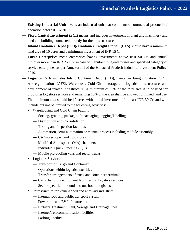- **Existing Industrial Unit** means an industrial unit that commenced commercial production/ operation before 01.04.2017.
- **Fixed Capital Investment (FCI)** means and includes investment in plant and machinery and land and building connected directly for the infrastructure.
- **Inland Container Depot (ICD)/ Container Freight Station (CFS)** should have a minimum land area of 10 acres and a minimum investment of INR 15 Cr.
- **Large Enterprises** mean enterprises having investments above INR 50 Cr. and annual turnover more than INR 250 Cr. in case of manufacturing enterprises and specified category of service enterprises as per Annexure-II of the Himachal Pradesh Industrial Investment Policy, 2019.
- **Logistics Park** includes Inland Container Depot (ICD), Container Freight Station (CFS), Airfreight stations (AFS), Warehouse, Cold Chain storage and logistics infrastructure, and development of related infrastructure. A minimum of 85% of the total area is to be used for providing logistics services and remaining 15% of the area shall be allowed for mixed land use. The minimum area should be 10 acres with a total investment of at least INR 30 Cr. and will include but not be limited to the following activities:
	- Warehousing and Cold Chain Facility
		- Sorting, grading, packaging/repackaging, tagging/labelling
		- Distribution and Consolidation
		- Testing and Inspection facilities
		- Automation, semi-automation or manual process including module assembly.
		- CA Stores, open and cold stores
		- Modified Atmosphere (MA) chambers
		- Individual Quick Freezing (IQF)
		- Mobile pre-cooling vans and reefer trucks
	- Logistics Services
		- Transport of Cargo and Container
		- Operations within logistics facilities
		- Transfer arrangements of truck and container terminals
		- Cargo handling equipment facilities for logistics services
		- Sector-specific in-bound and out-bound logistics
	- Infrastructure for value-added and ancillary industries
		- Internal road and public transport system
		- Power line and EV Infrastructure
		- Effluent Treatment Plant, Sewage and Drainage lines
		- Internet/Telecommunication facilities
		- Parking Facility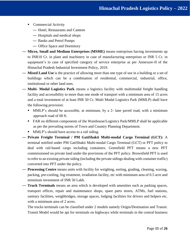- Commercial Activity
	- Hotel, Restaurants and Canteen
	- Hospitals and medical shops
	- Banks and Petrol Pumps
	- Office Space and Dormitory
- **Micro, Small and Medium Enterprises (MSME)** means enterprises having investments up to INR10 Cr. in plant and machinery in case of manufacturing enterprises or INR 5 Cr. in equipment's in case of specified category of service enterprise as per Annexure-II of the Himachal Pradesh Industrial Investment Policy, 2019.
- **Mixed Land Use** is the practice of allowing more than one type of use in a building or a set of buildings which can be a combination of residential, commercial, industrial, office, institutional or other land uses.
- **Multi- Modal Logistics Park** means a logistics facility with multimodal freight handling facility and accessibility to more than one mode of transport with a minimum area of 15 acres and a total investment of at least INR 50 Cr. Multi Modal Logistics Park (MMLP) shall have the following provision:
	- MMLP's should be accessible, at minimum, by a 2- lane paved road, with a minimum approach road of 60 ft.
	- FAR on different components of the Warehouse/Logistics Park/MMLP shall be applicable as per the prevailing norms of Town and Country Planning Department.
	- MMLP's should have access to a rail siding.
- **Private Freight Terminal / PM GatiShakti Multi-modal Cargo Terminal (GCT):** A terminal notified under PM GatiShakti Multi-modal Cargo Terminal (GCT) or PFT policy to deal with rail-based cargo including containers. Greenfield PFT means a new PFT commissioned on private land under the provisions of the PFT policy. Brownfield PFT is used to refer to an existing private siding (including the private sidings dealing with container traffic) converted into PFT under the policy.
- **Processing Centre** means units with facility for weighing, sorting, grading, cleaning, waxing, packing, pre-cooling, fog treatment, irradiation facility, etc with minimum area of 0.5 acre and minimum investment of INR 50 Lakh.
- **Truck Terminals** means an area which is developed with amenities such as parking spaces, transport offices, repair and maintenance shops, spare parts stores, ATMs, fuel stations, sanitary facilities, weighbridges, storage spaces, lodging facilities for drivers and helpers etc. with a minimum area of 2 acres.

The trucks terminals can be classified under 2 models namely Origin/Destination and Transit. Transit Model would be apt for terminals on highways while terminals in the central business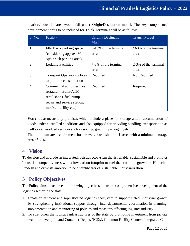| S. No.         | Facility                           | Origin / Destination  | <b>Transit Model</b>    |
|----------------|------------------------------------|-----------------------|-------------------------|
|                |                                    | Model                 |                         |
|                | <b>Idle Truck parking space</b>    | 5-10% of the terminal | $>60\%$ of the terminal |
|                | (considering approx. 80)           | area                  | area                    |
|                | sqft/truck parking area)           |                       |                         |
| $\overline{2}$ | <b>Lodging Facilities</b>          | 7-8% of the terminal  | 2-3% of the terminal    |
|                |                                    | area                  | area                    |
| 3              | <b>Transport Operators offices</b> | Required              | Not Required            |
|                | to promote consolidation           |                       |                         |
| 4              | Commercial activities like         | Required              | Required                |
|                | restaurant, Bank/ATM,              |                       |                         |
|                | retail shops, fuel pump,           |                       |                         |
|                | repair and service station,        |                       |                         |
|                | medical facility etc.)             |                       |                         |

districts/industrial area would fall under Origin/Destination model. The key components/ development norms to be included for Truck Terminals will be as follows:

— **Warehouse** means any premises which include a place for storage and/or accumulation of goods under controlled conditions and also equipped for providing handling, transportation as well as value-added services such as sorting, grading, packaging etc.

The minimum area requirement for the warehouse shall be 1 acres with a minimum storage area of 60%.

# <span id="page-11-0"></span>**4 Vision**

To develop and upgrade an integrated logistics ecosystem that is reliable, sustainable and promotes Industrial competitiveness with a low carbon footprint to fuel the economic growth of Himachal Pradesh and drive its ambition to be a torchbearer of sustainable industrialization.

# <span id="page-11-1"></span>**5 Policy Objectives**

The Policy aims to achieve the following objectives to ensure comprehensive development of the logistics sector in the state:

- 1. Create an efficient and sophisticated logistics ecosystem to support state's industrial growth by strengthening institutional support through inter-departmental coordination in planning, implementation and monitoring of policies and measures affecting logistics industry.
- 2. To strengthen the logistics infrastructures of the state by promoting investment from private sector to develop Inland Container Depots (ICDs), Common Facility Centres, Integrated Cold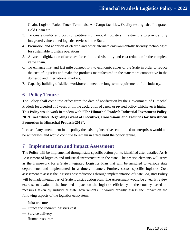Chain, Logistic Parks, Truck Terminals, Air Cargo facilities, Quality testing labs, Integrated Cold Chain etc.

- 3. To create quality and cost competitive multi-modal Logistics infrastructure to provide fully integrated value-added logistic services in the State.
- 4. Promotion and adoption of electric and other alternate environmentally friendly technologies for sustainable logistics operations.
- 5. Advocate digitization of services for end-to-end visibility and cost reduction in the complete value chain.
- 6. To enhance first and last mile connectivity to economic zones of the State in order to reduce the cost of logistics and make the products manufactured in the state more competitive in the domestic and international markets.
- 7. Capacity building of skilled workforce to meet the long-term requirement of the industry.

# <span id="page-12-0"></span>**6 Policy Tenure**

The Policy shall come into effect from the date of notification by the Government of Himachal Pradesh for a period of 5 years or till the declaration of a new or revised policy whichever is higher. This Policy would work in tandem with "**The Himachal Pradesh Industrial Investment Policy, 2019**" and "**Rules Regarding Grant of Incentives, Concessions and Facilities for Investment Promotion in Himachal Pradesh-2019**".

In case of any amendment in the policy the existing incentives committed to enterprises would not be withdrawn and would continue to remain in effect until the policy tenure.

# <span id="page-12-1"></span>**7 Implementation and Impact Assessment**

The Policy will be implemented through state specific action points identified after detailed As-Is Assessment of logistics and industrial infrastructure in the state. The precise elements will serve as the framework for a State Integrated Logistics Plan that will be assigned to various state departments and implemented in a timely manner. Further**,** sector specific logistics Cost assessment to assess the logistics cost reductions through implementation of State Logistics Policy will be made integral part of State logistics action plan. The Assessment would be a yearly review exercise to evaluate the intended impact on the logistics efficiency in the country based on measures taken by individual state governments. It would broadly assess the impact on the following aspects of the logistics ecosystem:

- Infrastructure
- Direct and Indirect logistics cost
- Service delivery
- Human resources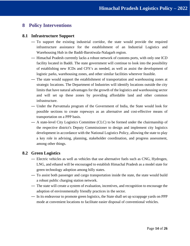# <span id="page-13-0"></span>**8 Policy Interventions**

## <span id="page-13-1"></span>**8.1 Infrastructure Support**

- To support the existing industrial corridor, the state would provide the required infrastructure assistance for the establishment of an Industrial Logistics and Warehousing Hub in the Baddi-Barotiwala-Nalagarh region.
- Himachal Pradesh currently lacks a robust network of customs ports, with only one ICD facility located in Baddi. The state government will continue to look into the possibility of establishing new ICDs and CFS's as needed, as well as assist the development of logistic parks, warehousing zones, and other similar facilities wherever feasible.
- The state would support the establishment of transportation and warehousing zones at strategic locations. The Department of Industries will identify locations outside the city limits that have natural advantages for the growth of the logistics and warehousing sector and will set up these zones by providing affordable land and other common infrastructure.
- Under the Parvatmala program of the Government of India, the State would look for possible sections to create ropeways as an alternative and cost-effective means of transportation on a PPP basis.
- A state-level City Logistics Committee (CLC) to be formed under the chairmanship of the respective district's Deputy Commissioner to design and implement city logistics development in accordance with the National Logistics Policy, allowing the state to play a key role in advising, planning, stakeholder coordination, and progress assessment, among other things.

## <span id="page-13-2"></span>**8.2 Green Logistics**

- Electric vehicles as well as vehicles that use alternative fuels such as CNG, Hydrogen, LNG, and ethanol will be encouraged to establish Himachal Pradesh as a model state for green technology adoption among hilly states.
- To assist both passenger and cargo transportation inside the state, the state would build a robust public charging station network.
- The state will create a system of evaluation, incentives, and recognition to encourage the adoption of environmentally friendly practices in the sector.
- In its endeavour to promote green logistics, the State shall set up scrappage yards on PPP mode at convenient locations to facilitate easier disposal of conventional vehicles.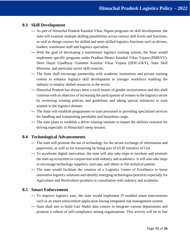## <span id="page-14-0"></span>**8.3 Skill Development**

- As part of Himachal Pradesh Kaushal Vikas Nigam programs on skill development, the state will examine multiple skilling possibilities across various skill levels and functions, as well as design courses for skilled and semi-skilled logistics functions such as drivers, loaders, warehouse staff and logistics specialists.
- With the goal of developing a mainstream logistics training system, the State would implement specific programs under Pradhan Mantri Kaushal Vikas Yojana (PMKVY), Deen Dayal Upadhyay Grameen Kaushal Vikas Yojana (DDU-GKY), State Skill Missions, and particular sector skill councils.
- The State shall encourage partnership with academic institutions and private training centres to enhance logistics skill development in younger workforce enabling the industry to employ skilled resources in the sector.
- Himachal Pradesh has always been a torch bearer of gender-inclusiveness and this shall continue with an objective of increasing the participation of women in the logistics sector by reviewing existing policies and guidelines and taking special initiatives to train women in the logistics domain.
- The State will establish programmes to train personnel in providing specialized services for handling and transporting perishable and hazardous cargo.
- The state plans to establish a driver training institute to impart the abilities essential for driving especially in Himachal's steep terrains.

## <span id="page-14-1"></span>**8.4 Technological Advancements**

- The state will promote the use of technology for the secure exchange of information and paperwork, as well as for transacting by being part of ULIP initiative of GoI.
- To accelerate digital innovation, the state will also take steps to incubate and promote the start-up ecosystem in conjunction with industry and academics. It will also take steps to encourage technology suppliers, start-ups, and others to file technical patents.
- The state would facilitate the creation of a Logistics Centre of Excellence to boost innovative logistics solutions and identify emerging technologies/practices especially for Agriculture and Horticulture products in consultation with industry and academia.

## <span id="page-14-2"></span>**8.5 Smart Enforcement**

- To improve logistics ease, the state would implement IT-enabled smart interventions such as an smart enforcement application having integrated risk management system.
- State shall aim to build Gati Shakti data centres to integrate various departments and promote a culture of self-compliance among organizations. This activity will be in line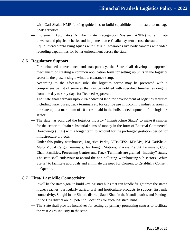with Gati Shakti NMP funding guidelines to build capabilities in the state to manage SMP activities.

- Implement Automatics Number Plate Recognition System (ANPR) to eliminate unwarranted physical checks and implement an e-Challan system across the state.
- Equip Interceptors/Flying squads with SMART wearables like body cameras with video recording capabilities for better enforcement across the state.

## <span id="page-15-0"></span>**8.6 Regulatory Support**

- For enhanced convenience and transparency, the State shall develop an approval mechanism of creating a common application form for setting up units in the logistics sector in the present single window clearance setup.
- According to the aforesaid rule, the logistics sector may be presented with a comprehensive list of services that can be notified with specified timeframes ranging from one day to sixty days for Deemed Approval.
- The State shall earmark upto 20% dedicated land for development of logistics facilities including warehouses, truck terminals etc for captive use in upcoming industrial areas in the state up to a maximum of 10 acres to aid in the holistic development of the logistics sector.
- The state has accorded the logistics industry "Infrastructure Status" to make it simpler for the sector to obtain substantial sums of money in the form of External Commercial Borrowings (ECB) with a longer term to account for the prolonged gestation period for infrastructure projects.
- Under this policy warehouses, Logistics Parks, ICDs/CFSs, MMLPs, PM GatiShakti Multi Modal Cargo Terminals, Air Freight Stations, Private Freight Terminals, Cold Chain Facilities, Processing Centres and Truck Terminals are granted "Industry" status.
- The state shall endeavour to accord the non-polluting Warehousing sub sectors "White Status" to facilitate approvals and eliminate the need for Consent to Establish / Consent to Operate.

# <span id="page-15-1"></span>**8.7 First/ Last Mile Connectivity**

- It will be the state's goal to build key logistics hubs that can handle freight from the state's higher reaches, particularly agricultural and horticulture products to support first mile connectivity. Shoghi in the Shimla district, Sauli Khad in the Mandi district, and Pandoga in the Una district are all potential locations for such logistical hubs.
- The State shall provide incentives for setting up primary processing centres to facilitate the vast Agro-industry in the state.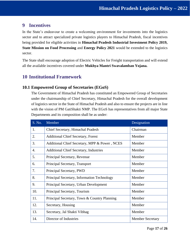# <span id="page-16-0"></span>**9 Incentives**

In the State's endeavour to create a welcoming environment for investments into the logistics sector and to attract specialized private logistics players to Himachal Pradesh, fiscal incentives being provided for eligible activities in **Himachal Pradesh Industrial Investment Policy 2019, State Mission on Food Processing** and **Energy Policy 2021** would be extended to the logistics sector.

The State shall encourage adoption of Electric Vehicles for Freight transportation and will extend all the available incentives covered under **Mukhya Mantri Swavalamban Yojana.**

# <span id="page-16-1"></span>**10 Institutional Framework**

# <span id="page-16-2"></span>**10.1 Empowered Group of Secretaries (EGoS)**

The Government of Himachal Pradesh has constituted an Empowered Group of Secretaries under the chairmanship of Chief Secretary, Himachal Pradesh for the overall development of logistics sector in the State of Himachal Pradesh and also to ensure the projects are in line with the vision of PM GatiShakti NMP. The EGoS has representatives from all major State Departments and its composition shall be as under:

| S. No. | Member                                        | Designation             |
|--------|-----------------------------------------------|-------------------------|
| 1.     | Chief Secretary, Himachal Pradesh             | Chairman                |
| 2.     | <b>Additional Chief Secretary, Forest</b>     | Member                  |
| 3.     | Additional Chief Secretary, MPP & Power, NCES | Member                  |
| 4.     | <b>Additional Chief Secretary, Industries</b> | Member                  |
| 5.     | Principal Secretary, Revenue                  | Member                  |
| 6.     | Principal Secretary, Transport                | Member                  |
| 7.     | Principal Secretary, PWD                      | Member                  |
| 8.     | Principal Secretary, Information Technology   | Member                  |
| 9.     | Principal Secretary, Urban Development        | Member                  |
| 10.    | Principal Secretary, Tourism                  | Member                  |
| 11.    | Principal Secretary, Town & Country Planning  | Member                  |
| 12.    | Secretary, Housing                            | Member                  |
| 13.    | Secretary, Jal Shakti Vibhag                  | Member                  |
| 14.    | Director of Industries                        | <b>Member Secretary</b> |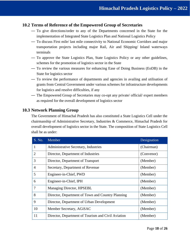## <span id="page-17-0"></span>**10.2 Terms of Reference of the Empowered Group of Secretaries**

- To give directions/order to any of the Departments concerned in the State for the implementation of Integrated State Logistics Plan and National Logistics Policy
- To discuss First mile/ last mile connectivity to National Economic Corridors and major transportation projects including major Rail, Air and Shipping/ Inland waterways terminals
- To approve the State Logistics Plan, State Logistics Policy or any other guidelines, schemes for the promotion of logistics sector in the State
- To review the various measures for enhancing Ease of Doing Business (EoDB) in the State for logistics sector
- To review the performance of departments and agencies in availing and utilisation of grants from Central Government under various schemes for infrastructure developments for logistics and resolve difficulties, if any
- The Empowered Group of Secretaries may co-opt any private/ official/ expert members as required for the overall development of logistics sector

## <span id="page-17-1"></span>**10.3 Network Planning Group**

The Government of Himachal Pradesh has also constituted a State Logistics Cell under the chairmanship of Administrative Secretary, Industries & Commerce, Himachal Pradesh for overall development of logistics sector in the State. The composition of State Logistics Cell shall be as under:

| S. No.         | Member                                             | Designation |
|----------------|----------------------------------------------------|-------------|
| 1              | Administrative Secretary, Industries               | (Chairman)  |
| $\overline{2}$ | Director, Department of Industries                 | (Convenor)  |
| 3              | Director, Department of Transport                  | (Member)    |
| $\overline{4}$ | Secretary, Department of Revenue                   | (Member)    |
| 5              | Engineer-in-Chief, PWD                             | (Member)    |
| 6              | Engineer-in-Chief, IPH                             | (Member)    |
| 7              | Managing Director, HPSEBL                          | (Member)    |
| 8              | Director, Department of Town and Country Planning  | (Member)    |
| 9              | Director, Department of Urban Development          | (Member)    |
| 10             | Member Secretary, AGiSAC                           | (Member)    |
| 11             | Director, Department of Tourism and Civil Aviation | (Member)    |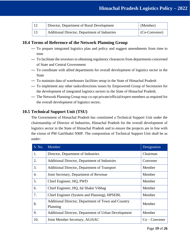| 12 | Director, Department of Rural Development     | (Member)              |
|----|-----------------------------------------------|-----------------------|
|    | Additional Director, Department of Industries | $\vert$ (Co-Convenor) |

# <span id="page-18-0"></span>**10.4 Terms of Reference of the Network Planning Group**

- To prepare integrated logistics plan and policy and suggest amendments from time to time
- To facilitate the investors in obtaining regulatory clearances from departments concerned of State and Central Government
- To coordinate with allied departments for overall development of logistics sector in the State
- To maintain data of warehouses facilities setup in the State of Himachal Pradesh
- To implement any other tasks/directions issues by Empowered Group of Secretaries for the development of integrated logistics sectors in the State of Himachal Pradesh.
- The Network Planning Group may co-opt private/official/expert members as required for the overall development of logistics sector**.**

# <span id="page-18-1"></span>**10.5 Technical Support Unit (TSU)**

The Government of Himachal Pradesh has constituted a Technical Support Unit under the chairmanship of Director of Industries, Himachal Pradesh for the overall development of logistics sector in the State of Himachal Pradesh and to ensure the projects are in line with the vision of PM GatiShakti NMP. The composition of Technical Support Unit shall be as under:

| S. No. | Member                                                          | Designation     |
|--------|-----------------------------------------------------------------|-----------------|
| 1.     | Director, Department of Industries                              | Chairman        |
| 2.     | Additional Director, Department of Industries                   | Convener        |
| 3.     | Additional Director, Department of Transport                    | Member          |
| 4.     | Joint Secretary, Department of Revenue                          | Member          |
| 5.     | Chief Engineer, HQ, PWD                                         | Member          |
| 6.     | Chief Engineer, HQ, Jal Shakti Vibhag                           | Member          |
| 7.     | Chief Engineer (System and Planning), HPSEBL                    | Member          |
| 8.     | Additional Director, Department of Town and Country<br>Planning | Member          |
| 9.     | Additional Director, Department of Urban Development            | Member          |
| 10.    | Joint Member Secretary, AGiSAC                                  | $Co - Convener$ |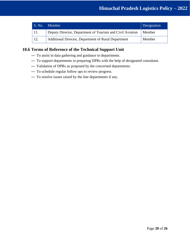| S. No. | <b>Member</b>                                             | Designation |
|--------|-----------------------------------------------------------|-------------|
| 11.    | Deputy Director, Department of Tourism and Civil Aviation | Member      |
|        | Additional Director, Department of Rural Department       | Member      |

# <span id="page-19-0"></span>**10.6 Terms of Reference of the Technical Support Unit**

- To assist in data gathering and guidance to departments.
- To support departments in preparing DPRs with the help of designated consultant.
- Validation of DPRs as proposed by the concerned departments.
- To schedule regular follow ups to review progress.
- To resolve issues raised by the line departments if any.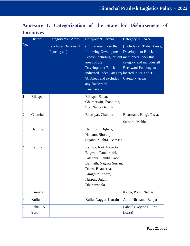<span id="page-20-0"></span>

|                   | Annexure I: Categorization of the State for Disbursement of |  |  |  |
|-------------------|-------------------------------------------------------------|--|--|--|
| <b>Incentives</b> |                                                             |  |  |  |

| S.             | <b>District</b>   | Category "A" Areas                | Category 'B' Areas                                                                                                                                                                                                                                                           | Category 'C' Area                                                                                         |
|----------------|-------------------|-----------------------------------|------------------------------------------------------------------------------------------------------------------------------------------------------------------------------------------------------------------------------------------------------------------------------|-----------------------------------------------------------------------------------------------------------|
| No.            |                   | (excludes Backward<br>Panchayats) | (Entire area under the<br>following Development Development Blocks<br>Blocks including left out mentioned under this<br>areas of the<br><b>Development Blocks</b><br>indicated under Category located in 'A' and 'B'<br>'A' Areas and excludes<br>any Backward<br>Panchayat) | (Includes all Tribal Areas,<br>category and includes all<br><b>Backward Panchayats</b><br>Category Areas) |
| 1              | Bilaspur          |                                   | Bilaspur Sadar,                                                                                                                                                                                                                                                              |                                                                                                           |
|                |                   |                                   | Ghumarwin, Jhandutta,                                                                                                                                                                                                                                                        |                                                                                                           |
|                |                   |                                   | Shri Naina Devi Ji                                                                                                                                                                                                                                                           |                                                                                                           |
| 2              | Chamba            |                                   | Bhattiyat, Chamba                                                                                                                                                                                                                                                            | Bharmaur, Pangi, Tissa,                                                                                   |
|                |                   |                                   |                                                                                                                                                                                                                                                                              | Salooni, Mehla                                                                                            |
| 3              | Hamirpur          |                                   | Hamirpur, Bijhari,<br>Nadaun, Bhoranj,<br>Sujanpur-Tihra, Bamsan                                                                                                                                                                                                             |                                                                                                           |
| 4              | Kangra            |                                   | Kangra, Rait, Nagrota<br>Bagwan, Panchrukhi,<br>Fatehpur, Lamba Gaon,<br>Baijnath, Nagrota Surian,<br>Dehra, Bhawarna,<br>Paragpur, Indora,<br>Nurpur, Sulah,<br>Dharamshala                                                                                                 |                                                                                                           |
| 5              | Kinnaur           |                                   |                                                                                                                                                                                                                                                                              | Kalpa, Pooh, Nichar                                                                                       |
| $\overline{6}$ | Kullu             |                                   | Kullu, Naggar-Katrain                                                                                                                                                                                                                                                        | Anni, Nirmand, Banjar                                                                                     |
| 7              | Lahaul &<br>Spiti |                                   |                                                                                                                                                                                                                                                                              | Lahaul (Keylong), Spiti<br>(Kaza)                                                                         |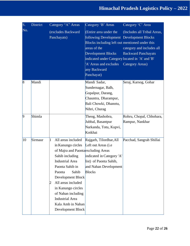| S.                      | <b>District</b> | Category "A" Areas                                                                                                                                                                                                                                                                                                                 | Category 'B' Areas                                                                                                                                                                                                                                                           | Category 'C' Area                                                                                                |
|-------------------------|-----------------|------------------------------------------------------------------------------------------------------------------------------------------------------------------------------------------------------------------------------------------------------------------------------------------------------------------------------------|------------------------------------------------------------------------------------------------------------------------------------------------------------------------------------------------------------------------------------------------------------------------------|------------------------------------------------------------------------------------------------------------------|
| $\overline{\text{No}}.$ |                 | (excludes Backward<br>Panchayats)                                                                                                                                                                                                                                                                                                  | (Entire area under the<br>following Development Development Blocks<br>Blocks including left out mentioned under this<br>areas of the<br><b>Development Blocks</b><br>indicated under Category located in 'A' and 'B'<br>'A' Areas and excludes<br>any Backward<br>Panchayat) | (Includes all Tribal Areas,<br>category and includes all<br><b>Backward Panchayats</b><br><b>Category Areas)</b> |
| $\overline{8}$          | Mandi           |                                                                                                                                                                                                                                                                                                                                    | Mandi Sadar,<br>Sundernagar, Balh,<br>Gopalpur, Darang,<br>Chauntra, Dharampur,<br>Bali Chowki, Dhanotu,<br>Nihri, Churag                                                                                                                                                    | Seraj, Karsog, Gohar                                                                                             |
| 9                       | Shimla          |                                                                                                                                                                                                                                                                                                                                    | Theog, Mashobra,<br>Jubbal, Basantpur<br>Narkanda, Totu, Kupvi,<br>Kotkhai                                                                                                                                                                                                   | Rohru, Chopal, Chhohara,<br>Rampur, Nankhar                                                                      |
| 10                      | Sirmaur         | All areas included<br>1<br>in Kanungo circles<br>of Majra and Paonta excluding Areas<br>Sahib including<br><b>Industrial Area</b><br>Paonta Sahib in<br>Sahib<br>Paonta<br>Development Block<br>All areas included<br>in Kanungo circles<br>of Nahan including<br><b>Industrial Area</b><br>Kala Amb in Nahan<br>Development Block | Rajgarh, Tilordhar, All<br>Left out Areas (i.e.<br>indicated in Category 'A'<br>list) of Paonta Sahib,<br>and Nahan Development<br><b>Blocks</b>                                                                                                                             | Pacchad, Sangrah Shillai                                                                                         |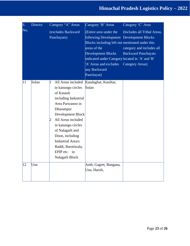| S.  | <b>District</b> | Category "A" Areas                                                                                                                                                                                                                                                                                            | Category 'B' Areas                                                                                                                                                                                                                                                                            | Category 'C' Area                                                                      |
|-----|-----------------|---------------------------------------------------------------------------------------------------------------------------------------------------------------------------------------------------------------------------------------------------------------------------------------------------------------|-----------------------------------------------------------------------------------------------------------------------------------------------------------------------------------------------------------------------------------------------------------------------------------------------|----------------------------------------------------------------------------------------|
| No. |                 | (excludes Backward<br>Panchayats)                                                                                                                                                                                                                                                                             | (Entire area under the<br>following Development Development Blocks<br>Blocks including left out mentioned under this<br>areas of the<br><b>Development Blocks</b><br>indicated under Category located in 'A' and 'B'<br>'A' Areas and excludes  Category Areas)<br>any Backward<br>Panchayat) | (Includes all Tribal Areas,<br>category and includes all<br><b>Backward Panchayats</b> |
| 11  | Solan           | All Areas included<br>1<br>in kanungo circles<br>of Kasauli<br>including Industrial<br>Area Parwanoo in<br>Dharampur<br>Development Block<br>All Areas included<br>2<br>in kanungo circles<br>of Nalagarh and<br>Doon, including<br>Industrial Area/s<br>Baddi, Barotiwala,<br>EPIP etc. in<br>Nalagarh Block | Kandaghat, Kunihar,<br>Solan                                                                                                                                                                                                                                                                  |                                                                                        |
| 12  | Una             |                                                                                                                                                                                                                                                                                                               | Amb, Gagret, Bangana,<br>Una, Haroli,                                                                                                                                                                                                                                                         |                                                                                        |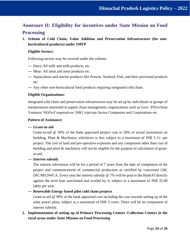# <span id="page-23-0"></span>**Annexure II: Eligibility for incentives under State Mission on Food Processing**

**1. Scheme of Cold Chain, Value Addition and Preservation Infrastructure (for nonhorticultural products) under SMFP**

### **Eligible Sectors:**

Following sectors may be covered under the scheme:

- Dairy-All milk and milk products, etc.
- Meat- All meat and meat products etc.
- Aquaculture and marine products like Prawns, Seafood, Fish, and their processed products etc.
- Any other non-horticultural food products requiring integrated cold chain.

### **Eligible Organizations:**

Integrated cold chain and preservation infrastructure may be set up by individuals or groups of entrepreneurs interested in supply chain management, organizations such as Govt. /PSUs/Joint Ventures/ NGOs/Cooperatives/ SHG's/private Sector Companies and Corporations etc.

#### **Pattern of Assistance:**

#### — **Grant-in-aid**

Grant-in-aid @ 50% of the bank appraised project cost or 50% of actual investment on building, Plant & Machinery whichever is less subject to a maximum of INR 5 Cr. per project. The cost of land and pre-operative expenses and any component other than cost of building and plant & machinery will not be eligible for the purpose of calculation of grantin-aid.

#### — **Interest subsidy**

The interest subvention will be for a period of 7 years from the date of completion of the project and commencement of commercial production as certified by concerned GM, DIC/MS,SWCA. Every year the interest subsidy @ 7% will be paid to the Bank/FI directly against the term loan sanctioned and availed by it, subject to a maximum of INR 25.00 lakhs per year.

#### — **Renewable Energy based pilot cold chain projects**

Grant in aid @ 90% of the bank appraised cost including the cost towards setting up of the solar power plant, subject to a maximum of INR 5 cores. There will be no component of interest subsidy.

**2. Implementation of setting up of Primary Processing Centers /Collection Centers in the rural areas under State Mission on Food Processing**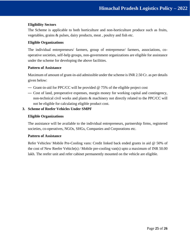## **Eligibility Sectors**

The Scheme is applicable to both horticulture and non-horticulture produce such as fruits, vegetables, grains & pulses, dairy products, meat , poultry and fish etc.

### **Eligible Organizations**

The individual entrepreneurs/ farmers, group of entrepreneur/ farmers, associations, cooperative societies, self-help groups, non-government organizations are eligible for assistance under the scheme for developing the above facilities.

#### **Pattern of Assistance**

Maximum of amount of grant-in-aid admissible under the scheme is INR 2.50 Cr. as per details given below:

- Grant-in-aid for PPC/CC will be provided @ 75% of the eligible project cost
- Cost of land, preoperative expenses, margin money for working capital and contingency, non-technical civil works and plants & machinery not directly related to the PPC/CC will not be eligible for calculating eligible product cost.

#### **3. Scheme of Reefer Vehicles Under SMPF**

#### **Eligible Organizations**

The assistance will be available to the individual entrepreneurs, partnership firms, registered societies, co-operatives, NGOs, SHGs, Companies and Corporations etc.

#### **Pattern of Assistance**

Refer Vehicles/ Mobile Pre-Cooling vans: Credit linked back ended grants in aid @ 50% of the cost of New Reefer Vehicle(s) / Mobile pre-cooling van(s) upto a maximum of INR 50.00 lakh. The reefer unit and refer cabinet permanently mounted on the vehicle are eligible.